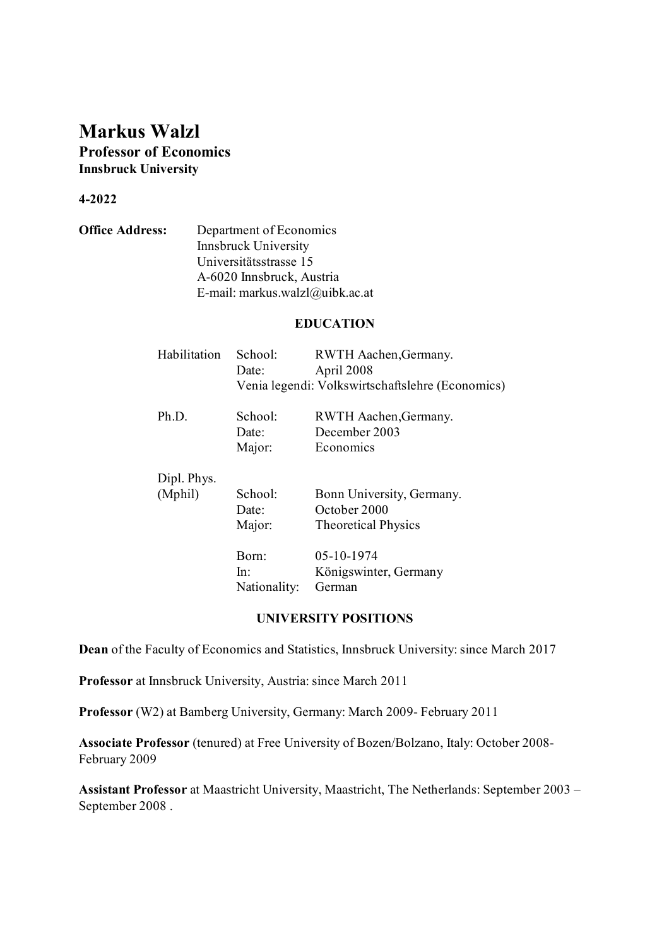# **Markus Walzl Professor of Economics Innsbruck University**

# **4-2022**

**Office Address:** Department of Economics Innsbruck University Universitätsstrasse 15 A-6020 Innsbruck, Austria E-mail: markus.walzl@uibk.ac.at

#### **EDUCATION**

| Habilitation | School:                                          | RWTH Aachen, Germany.      |
|--------------|--------------------------------------------------|----------------------------|
|              | Date:                                            | April 2008                 |
|              | Venia legendi: Volkswirtschaftslehre (Economics) |                            |
| Ph.D.        | School:                                          | RWTH Aachen, Germany.      |
|              | Date:                                            | December 2003              |
|              | Major:                                           | Economics                  |
| Dipl. Phys.  |                                                  |                            |
| (Mphil)      | School:                                          | Bonn University, Germany.  |
|              | Date:                                            | October 2000               |
|              | Major:                                           | <b>Theoretical Physics</b> |
|              | Born:                                            | 05-10-1974                 |
|              | ln:                                              | Königswinter, Germany      |
|              | Nationality:                                     | German                     |
|              |                                                  |                            |

#### **UNIVERSITY POSITIONS**

**Dean** of the Faculty of Economics and Statistics, Innsbruck University: since March 2017

**Professor** at Innsbruck University, Austria: since March 2011

**Professor** (W2) at Bamberg University, Germany: March 2009- February 2011

**Associate Professor** (tenured) at Free University of Bozen/Bolzano, Italy: October 2008- February 2009

**Assistant Professor** at Maastricht University, Maastricht, The Netherlands: September 2003 – September 2008 .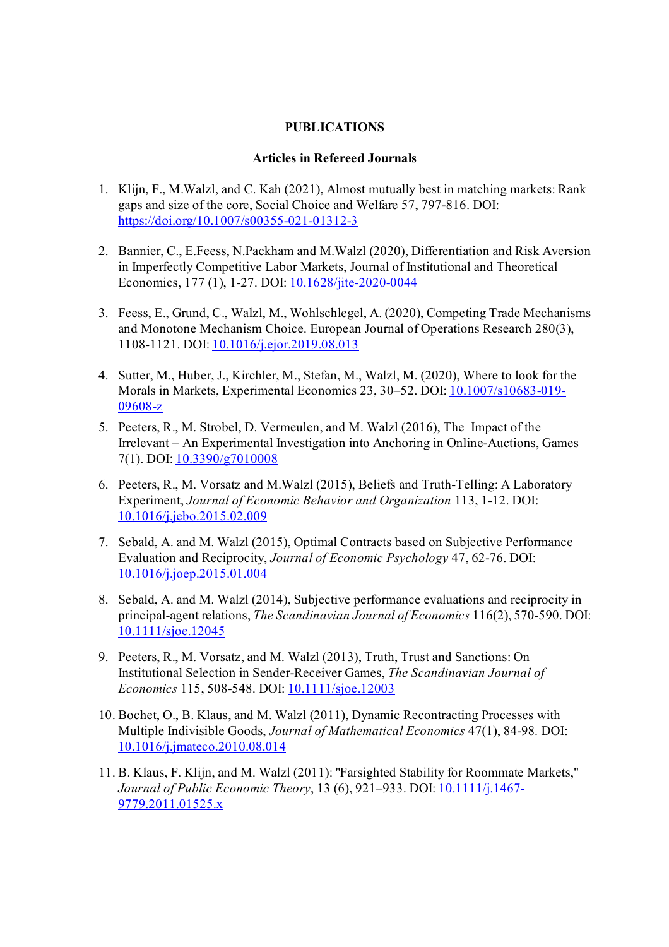# **PUBLICATIONS**

### **Articles in Refereed Journals**

- 1. Klijn, F., M.Walzl, and C. Kah (2021), Almost mutually best in matching markets: Rank gaps and size of the core, Social Choice and Welfare 57, 797-816. DOI: https://doi.org/10.1007/s00355-021-01312-3
- 2. Bannier, C., E.Feess, N.Packham and M.Walzl (2020), Differentiation and Risk Aversion in Imperfectly Competitive Labor Markets, Journal of Institutional and Theoretical Economics, 177 (1), 1-27. DOI: 10.1628/jite-2020-0044
- 3. Feess, E., Grund, C., Walzl, M., Wohlschlegel, A. (2020), Competing Trade Mechanisms and Monotone Mechanism Choice. European Journal of Operations Research 280(3), 1108-1121. DOI: 10.1016/j.ejor.2019.08.013
- 4. Sutter, M., Huber, J., Kirchler, M., Stefan, M., Walzl, M. (2020), Where to look for the Morals in Markets, Experimental Economics 23, 30–52. DOI: 10.1007/s10683-019- 09608-z
- 5. Peeters, R., M. Strobel, D. Vermeulen, and M. Walzl (2016), The Impact of the Irrelevant – An Experimental Investigation into Anchoring in Online-Auctions, Games 7(1). DOI: 10.3390/g7010008
- 6. Peeters, R., M. Vorsatz and M.Walzl (2015), Beliefs and Truth-Telling: A Laboratory Experiment, *Journal of Economic Behavior and Organization* 113, 1-12. DOI: 10.1016/j.jebo.2015.02.009
- 7. Sebald, A. and M. Walzl (2015), Optimal Contracts based on Subjective Performance Evaluation and Reciprocity, *Journal of Economic Psychology* 47, 62-76. DOI: 10.1016/j.joep.2015.01.004
- 8. Sebald, A. and M. Walzl (2014), Subjective performance evaluations and reciprocity in principal-agent relations, *The Scandinavian Journal of Economics* 116(2), 570-590. DOI: 10.1111/sjoe.12045
- 9. Peeters, R., M. Vorsatz, and M. Walzl (2013), Truth, Trust and Sanctions: On Institutional Selection in Sender-Receiver Games, *The Scandinavian Journal of Economics* 115, 508-548. DOI: 10.1111/sjoe.12003
- 10. Bochet, O., B. Klaus, and M. Walzl (2011), Dynamic Recontracting Processes with Multiple Indivisible Goods, *Journal of Mathematical Economics* 47(1), 84-98*.* DOI: 10.1016/j.jmateco.2010.08.014
- 11. B. Klaus, F. Klijn, and M. Walzl (2011): "Farsighted Stability for Roommate Markets," *Journal of Public Economic Theory*, 13 (6), 921–933. DOI: 10.1111/j.1467- 9779.2011.01525.x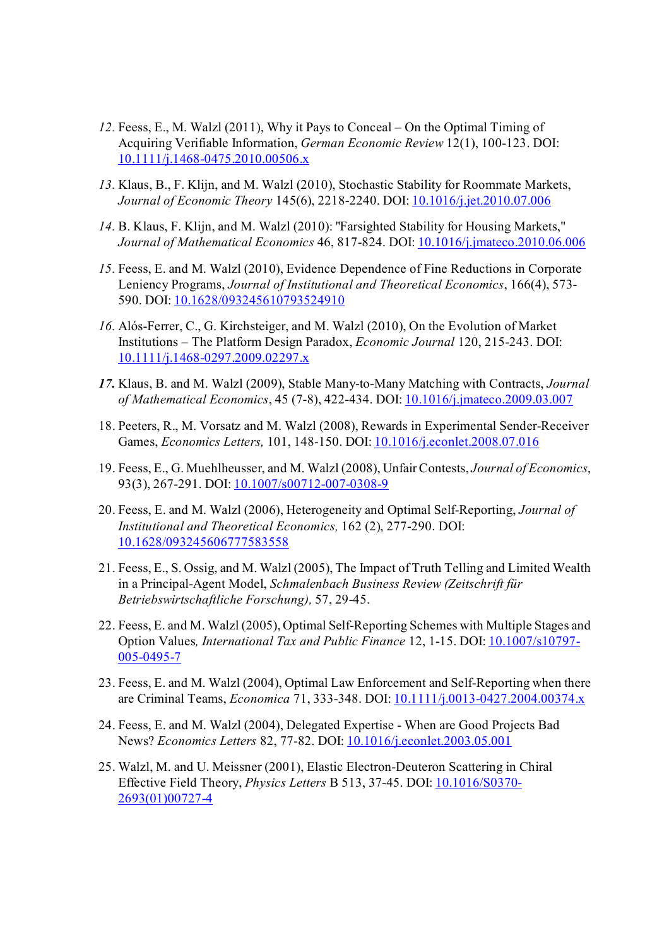- *12.* Feess, E., M. Walzl (2011), Why it Pays to Conceal On the Optimal Timing of Acquiring Verifiable Information, *German Economic Review* 12(1), 100-123. DOI: 10.1111/j.1468-0475.2010.00506.x
- *13.* Klaus, B., F. Klijn, and M. Walzl (2010), Stochastic Stability for Roommate Markets, *Journal of Economic Theory* 145(6), 2218-2240. DOI: 10.1016/j.jet.2010.07.006
- *14.* B. Klaus, F. Klijn, and M. Walzl (2010): "Farsighted Stability for Housing Markets," *Journal of Mathematical Economics* 46, 817-824. DOI: 10.1016/j.jmateco.2010.06.006
- *15.* Feess, E. and M. Walzl (2010), Evidence Dependence of Fine Reductions in Corporate Leniency Programs, *Journal of Institutional and Theoretical Economics*, 166(4), 573- 590. DOI: 10.1628/093245610793524910
- *16.* Alós-Ferrer, C., G. Kirchsteiger, and M. Walzl (2010), On the Evolution of Market Institutions – The Platform Design Paradox, *Economic Journal* 120, 215-243. DOI: 10.1111/j.1468-0297.2009.02297.x
- *17.* Klaus, B. and M. Walzl (2009), Stable Many-to-Many Matching with Contracts, *Journal of Mathematical Economics*, 45 (7-8), 422-434. DOI: 10.1016/j.jmateco.2009.03.007
- 18. Peeters, R., M. Vorsatz and M. Walzl (2008), Rewards in Experimental Sender-Receiver Games, *Economics Letters,* 101, 148-150. DOI: 10.1016/j.econlet.2008.07.016
- 19. Feess, E., G. Muehlheusser, and M. Walzl (2008), Unfair Contests, *Journal of Economics*, 93(3), 267-291. DOI: 10.1007/s00712-007-0308-9
- 20. Feess, E. and M. Walzl (2006), Heterogeneity and Optimal Self-Reporting, *Journal of Institutional and Theoretical Economics,* 162 (2), 277-290. DOI: 10.1628/093245606777583558
- 21. Feess, E., S. Ossig, and M. Walzl (2005), The Impact of Truth Telling and Limited Wealth in a Principal-Agent Model, *Schmalenbach Business Review (Zeitschrift für Betriebswirtschaftliche Forschung),* 57, 29-45.
- 22. Feess, E. and M. Walzl (2005), Optimal Self-Reporting Schemes with Multiple Stages and Option Values*, International Tax and Public Finance* 12, 1-15. DOI: 10.1007/s10797- 005-0495-7
- 23. Feess, E. and M. Walzl (2004), Optimal Law Enforcement and Self-Reporting when there are Criminal Teams, *Economica* 71, 333-348. DOI: 10.1111/j.0013-0427.2004.00374.x
- 24. Feess, E. and M. Walzl (2004), Delegated Expertise When are Good Projects Bad News? *Economics Letters* 82, 77-82. DOI: 10.1016/j.econlet.2003.05.001
- 25. Walzl, M. and U. Meissner (2001), Elastic Electron-Deuteron Scattering in Chiral Effective Field Theory, *Physics Letters* B 513, 37-45. DOI: 10.1016/S0370- 2693(01)00727-4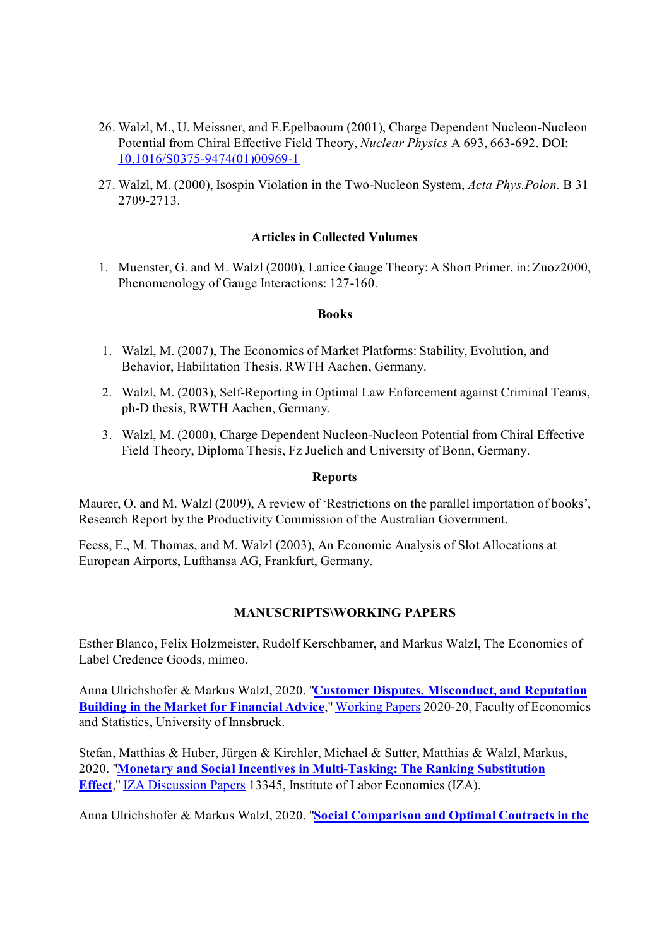- 26. Walzl, M., U. Meissner, and E.Epelbaoum (2001), Charge Dependent Nucleon-Nucleon Potential from Chiral Effective Field Theory, *Nuclear Physics* A 693, 663-692. DOI: 10.1016/S0375-9474(01)00969-1
- 27. Walzl, M. (2000), Isospin Violation in the Two-Nucleon System, *Acta Phys.Polon.* B 31 2709-2713.

# **Articles in Collected Volumes**

1. Muenster, G. and M. Walzl (2000), Lattice Gauge Theory: A Short Primer, in: Zuoz2000, Phenomenology of Gauge Interactions: 127-160.

### **Books**

- 1. Walzl, M. (2007), The Economics of Market Platforms: Stability, Evolution, and Behavior, Habilitation Thesis, RWTH Aachen, Germany.
- 2. Walzl, M. (2003), Self-Reporting in Optimal Law Enforcement against Criminal Teams, ph-D thesis, RWTH Aachen, Germany.
- 3. Walzl, M. (2000), Charge Dependent Nucleon-Nucleon Potential from Chiral Effective Field Theory, Diploma Thesis, Fz Juelich and University of Bonn, Germany.

### **Reports**

Maurer, O. and M. Walzl (2009), A review of 'Restrictions on the parallel importation of books', Research Report by the Productivity Commission of the Australian Government.

Feess, E., M. Thomas, and M. Walzl (2003), An Economic Analysis of Slot Allocations at European Airports, Lufthansa AG, Frankfurt, Germany.

# **MANUSCRIPTS\WORKING PAPERS**

Esther Blanco, Felix Holzmeister, Rudolf Kerschbamer, and Markus Walzl, The Economics of Label Credence Goods, mimeo.

Anna Ulrichshofer & Markus Walzl, 2020. "**Customer Disputes, Misconduct, and Reputation Building in the Market for Financial Advice**," Working Papers 2020-20, Faculty of Economics and Statistics, University of Innsbruck.

Stefan, Matthias & Huber, Jürgen & Kirchler, Michael & Sutter, Matthias & Walzl, Markus, 2020. "**Monetary and Social Incentives in Multi-Tasking: The Ranking Substitution Effect**," IZA Discussion Papers 13345, Institute of Labor Economics (IZA).

Anna Ulrichshofer & Markus Walzl, 2020. "**Social Comparison and Optimal Contracts in the**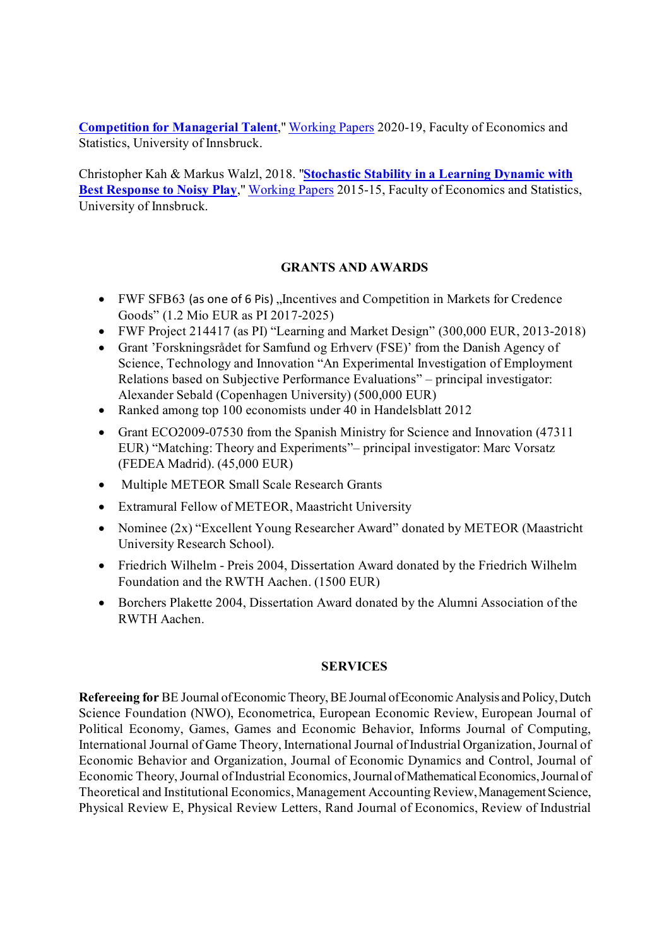**Competition for Managerial Talent**," Working Papers 2020-19, Faculty of Economics and Statistics, University of Innsbruck.

Christopher Kah & Markus Walzl, 2018. "**Stochastic Stability in a Learning Dynamic with Best Response to Noisy Play," Working Papers 2015-15, Faculty of Economics and Statistics,** University of Innsbruck.

# **GRANTS AND AWARDS**

- FWF SFB63 (as one of 6 Pis), Incentives and Competition in Markets for Credence Goods" (1.2 Mio EUR as PI 2017-2025)
- FWF Project 214417 (as PI) "Learning and Market Design" (300,000 EUR, 2013-2018)
- Grant 'Forskningsrådet for Samfund og Erhverv (FSE)' from the Danish Agency of Science, Technology and Innovation "An Experimental Investigation of Employment Relations based on Subjective Performance Evaluations" – principal investigator: Alexander Sebald (Copenhagen University) (500,000 EUR)
- Ranked among top 100 economists under 40 in Handelsblatt 2012
- Grant ECO2009-07530 from the Spanish Ministry for Science and Innovation (47311 EUR) "Matching: Theory and Experiments"– principal investigator: Marc Vorsatz (FEDEA Madrid). (45,000 EUR)
- Multiple METEOR Small Scale Research Grants
- Extramural Fellow of METEOR, Maastricht University
- Nominee (2x) "Excellent Young Researcher Award" donated by METEOR (Maastricht University Research School).
- Friedrich Wilhelm Preis 2004, Dissertation Award donated by the Friedrich Wilhelm Foundation and the RWTH Aachen. (1500 EUR)
- Borchers Plakette 2004, Dissertation Award donated by the Alumni Association of the RWTH Aachen.

# **SERVICES**

**Refereeing for** BE Journal of Economic Theory, BE Journal of Economic Analysis and Policy, Dutch Science Foundation (NWO), Econometrica, European Economic Review, European Journal of Political Economy, Games, Games and Economic Behavior, Informs Journal of Computing, International Journal of Game Theory, International Journal of Industrial Organization, Journal of Economic Behavior and Organization, Journal of Economic Dynamics and Control, Journal of Economic Theory, Journal of Industrial Economics, Journal of Mathematical Economics, Journal of Theoretical and Institutional Economics, Management Accounting Review, Management Science, Physical Review E, Physical Review Letters, Rand Journal of Economics, Review of Industrial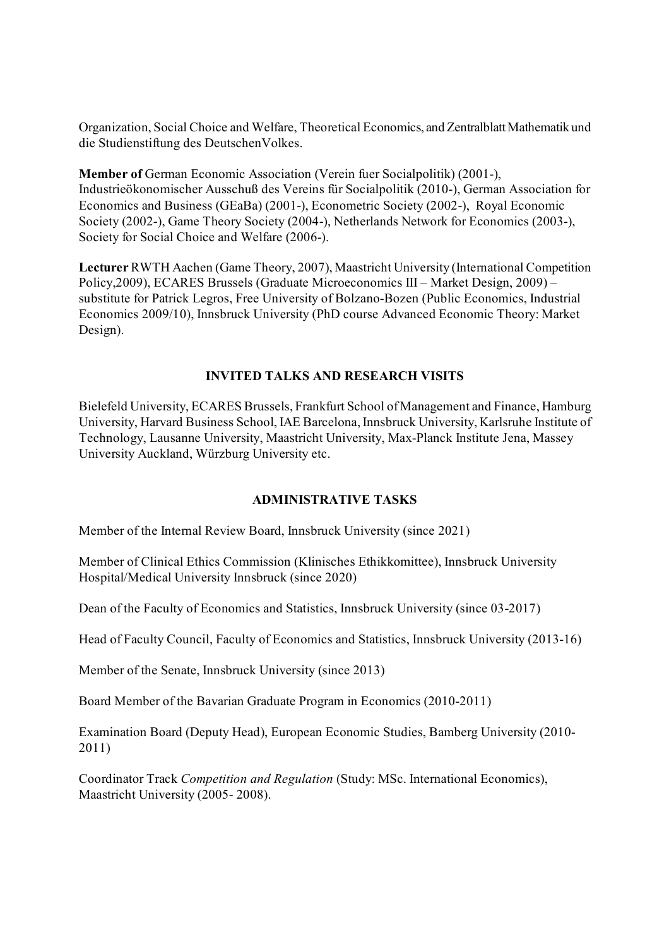Organization, Social Choice and Welfare, Theoretical Economics, and Zentralblatt Mathematik und die Studienstiftung des DeutschenVolkes.

**Member of** German Economic Association (Verein fuer Socialpolitik) (2001-), Industrieökonomischer Ausschuß des Vereins für Socialpolitik (2010-), German Association for Economics and Business (GEaBa) (2001-), Econometric Society (2002-), Royal Economic Society (2002-), Game Theory Society (2004-), Netherlands Network for Economics (2003-), Society for Social Choice and Welfare (2006-).

**Lecturer** RWTH Aachen (Game Theory, 2007), Maastricht University (International Competition Policy,2009), ECARES Brussels (Graduate Microeconomics III – Market Design, 2009) – substitute for Patrick Legros, Free University of Bolzano-Bozen (Public Economics, Industrial Economics 2009/10), Innsbruck University (PhD course Advanced Economic Theory: Market Design).

# **INVITED TALKS AND RESEARCH VISITS**

Bielefeld University, ECARES Brussels, Frankfurt School of Management and Finance, Hamburg University, Harvard Business School, IAE Barcelona, Innsbruck University, Karlsruhe Institute of Technology, Lausanne University, Maastricht University, Max-Planck Institute Jena, Massey University Auckland, Würzburg University etc.

# **ADMINISTRATIVE TASKS**

Member of the Internal Review Board, Innsbruck University (since 2021)

Member of Clinical Ethics Commission (Klinisches Ethikkomittee), Innsbruck University Hospital/Medical University Innsbruck (since 2020)

Dean of the Faculty of Economics and Statistics, Innsbruck University (since 03-2017)

Head of Faculty Council, Faculty of Economics and Statistics, Innsbruck University (2013-16)

Member of the Senate, Innsbruck University (since 2013)

Board Member of the Bavarian Graduate Program in Economics (2010-2011)

Examination Board (Deputy Head), European Economic Studies, Bamberg University (2010- 2011)

Coordinator Track *Competition and Regulation* (Study: MSc. International Economics), Maastricht University (2005- 2008).